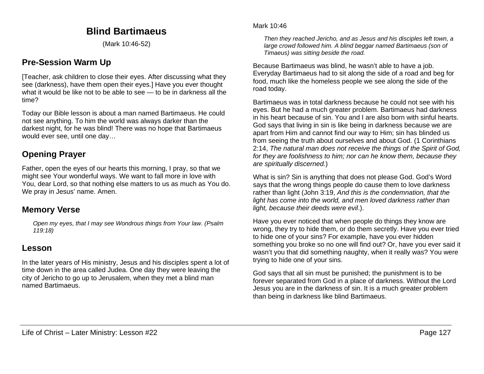# **Blind Bartimaeus**

(Mark 10:46-52)

## **Pre-Session Warm Up**

[Teacher, ask children to close their eyes. After discussing what they see (darkness), have them open their eyes.] Have you ever thought what it would be like not to be able to see — to be in darkness all the time?

Today our Bible lesson is about a man named Bartimaeus. He could not see anything. To him the world was always darker than the darkest night, for he was blind! There was no hope that Bartimaeus would ever see, until one day…

# **Opening Prayer**

Father, open the eyes of our hearts this morning, I pray, so that we might see Your wonderful ways. We want to fall more in love with You, dear Lord, so that nothing else matters to us as much as You do. We pray in Jesus' name. Amen.

### **Memory Verse**

*Open my eyes, that I may see Wondrous things from Your law. (Psalm 119:18)*

### **Lesson**

In the later years of His ministry, Jesus and his disciples spent a lot of time down in the area called Judea. One day they were leaving the city of Jericho to go up to Jerusalem, when they met a blind man named Bartimaeus.

#### Mark 10:46

*Then they reached Jericho, and as Jesus and his disciples left town, a large crowd followed him. A blind beggar named Bartimaeus (son of Timaeus) was sitting beside the road.*

Because Bartimaeus was blind, he wasn't able to have a job. Everyday Bartimaeus had to sit along the side of a road and beg for food, much like the homeless people we see along the side of the road today.

Bartimaeus was in total darkness because he could not see with his eyes. But he had a much greater problem. Bartimaeus had darkness in his heart because of sin. You and I are also born with sinful hearts. God says that living in sin is like being in darkness because we are apart from Him and cannot find our way to Him; sin has blinded us from seeing the truth about ourselves and about God. (1 Corinthians 2:14, *The natural man does not receive the things of the Spirit of God, for they are foolishness to him; nor can he know them, because they are spiritually discerned.*)

What is sin? Sin is anything that does not please God. God's Word says that the wrong things people do cause them to love darkness rather than light (John 3:19, *And this is the condemnation, that the light has come into the world, and men loved darkness rather than light, because their deeds were evil*.).

Have you ever noticed that when people do things they know are wrong, they try to hide them, or do them secretly. Have you ever tried to hide one of your sins? For example, have you ever hidden something you broke so no one will find out? Or, have you ever said it wasn't you that did something naughty, when it really was? You were trying to hide one of your sins.

God says that all sin must be punished; the punishment is to be forever separated from God in a place of darkness. Without the Lord Jesus you are in the darkness of sin. It is a much greater problem than being in darkness like blind Bartimaeus.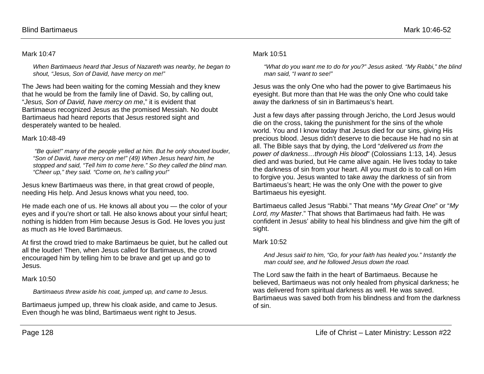#### Mark 10:47

*When Bartimaeus heard that Jesus of Nazareth was nearby, he began to shout, "Jesus, Son of David, have mercy on me!"*

The Jews had been waiting for the coming Messiah and they knew that he would be from the family line of David. So, by calling out, "*Jesus, Son of David, have mercy on me*," it is evident that Bartimaeus recognized Jesus as the promised Messiah. No doubt Bartimaeus had heard reports that Jesus restored sight and desperately wanted to be healed.

#### Mark 10:48-49

*"Be quiet!" many of the people yelled at him. But he only shouted louder, "Son of David, have mercy on me!" (49) When Jesus heard him, he stopped and said, "Tell him to come here." So they called the blind man. "Cheer up," they said. "Come on, he's calling you!"*

Jesus knew Bartimaeus was there, in that great crowd of people, needing His help. And Jesus knows what you need, too.

He made each one of us. He knows all about you — the color of your eyes and if you're short or tall. He also knows about your sinful heart; nothing is hidden from Him because Jesus is God. He loves you just as much as He loved Bartimaeus.

At first the crowd tried to make Bartimaeus be quiet, but he called out all the louder! Then, when Jesus called for Bartimaeus, the crowd encouraged him by telling him to be brave and get up and go to Jesus.

Mark 10:50

*Bartimaeus threw aside his coat, jumped up, and came to Jesus.*

Bartimaeus jumped up, threw his cloak aside, and came to Jesus. Even though he was blind, Bartimaeus went right to Jesus.

#### Mark 10:51

*"What do you want me to do for you?" Jesus asked. "My Rabbi," the blind man said, "I want to see!"*

Jesus was the only One who had the power to give Bartimaeus his eyesight. But more than that He was the only One who could take away the darkness of sin in Bartimaeus's heart.

Just a few days after passing through Jericho, the Lord Jesus would die on the cross, taking the punishment for the sins of the whole world. You and I know today that Jesus died for our sins, giving His precious blood. Jesus didn't deserve to die because He had no sin at all. The Bible says that by dying, the Lord "*delivered us from the power of darkness…through His blood*" (Colossians 1:13, 14). Jesus died and was buried, but He came alive again. He lives today to take the darkness of sin from your heart. All you must do is to call on Him to forgive you. Jesus wanted to take away the darkness of sin from Bartimaeus's heart; He was the only One with the power to give Bartimaeus his eyesight.

Bartimaeus called Jesus "Rabbi." That means "*My Great One*" or "*My Lord, my Master*." That shows that Bartimaeus had faith. He was confident in Jesus' ability to heal his blindness and give him the gift of sight.

#### Mark 10:52

*And Jesus said to him, "Go, for your faith has healed you." Instantly the man could see, and he followed Jesus down the road.*

The Lord saw the faith in the heart of Bartimaeus. Because he believed, Bartimaeus was not only healed from physical darkness; he was delivered from spiritual darkness as well. He was saved. Bartimaeus was saved both from his blindness and from the darkness of sin.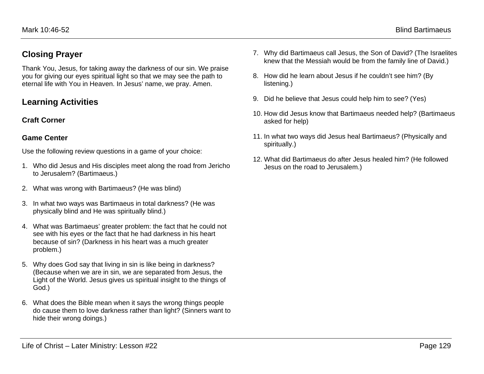## **Closing Prayer**

Thank You, Jesus, for taking away the darkness of our sin. We praise you for giving our eyes spiritual light so that we may see the path to eternal life with You in Heaven. In Jesus' name, we pray. Amen.

## **Learning Activities**

### **Craft Corner**

### **Game Center**

Use the following review questions in a game of your choice:

- 1. Who did Jesus and His disciples meet along the road from Jericho to Jerusalem? (Bartimaeus.)
- 2. What was wrong with Bartimaeus? (He was blind)
- 3. In what two ways was Bartimaeus in total darkness? (He was physically blind and He was spiritually blind.)
- 4. What was Bartimaeus' greater problem: the fact that he could not see with his eyes or the fact that he had darkness in his heart because of sin? (Darkness in his heart was a much greater problem.)
- 5. Why does God say that living in sin is like being in darkness? (Because when we are in sin, we are separated from Jesus, the Light of the World. Jesus gives us spiritual insight to the things of God.)
- 6. What does the Bible mean when it says the wrong things people do cause them to love darkness rather than light? (Sinners want to hide their wrong doings.)
- 7. Why did Bartimaeus call Jesus, the Son of David? (The Israelites knew that the Messiah would be from the family line of David.)
- 8. How did he learn about Jesus if he couldn't see him? (By listening.)
- 9. Did he believe that Jesus could help him to see? (Yes)
- 10. How did Jesus know that Bartimaeus needed help? (Bartimaeus asked for help)
- 11. In what two ways did Jesus heal Bartimaeus? (Physically and spiritually.)
- 12. What did Bartimaeus do after Jesus healed him? (He followed Jesus on the road to Jerusalem.)